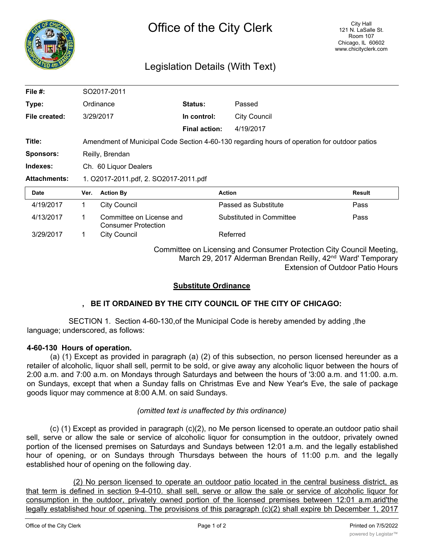

# Legislation Details (With Text)

| File $#$ :          | SO2017-2011                                                                                  |                                                        |                      |                          |               |
|---------------------|----------------------------------------------------------------------------------------------|--------------------------------------------------------|----------------------|--------------------------|---------------|
| Type:               | Ordinance                                                                                    |                                                        | <b>Status:</b>       | Passed                   |               |
| File created:       | 3/29/2017                                                                                    |                                                        | In control:          | <b>City Council</b>      |               |
|                     |                                                                                              |                                                        | <b>Final action:</b> | 4/19/2017                |               |
| Title:              | Amendment of Municipal Code Section 4-60-130 regarding hours of operation for outdoor patios |                                                        |                      |                          |               |
| <b>Sponsors:</b>    | Reilly, Brendan                                                                              |                                                        |                      |                          |               |
| Indexes:            | Ch. 60 Liquor Dealers                                                                        |                                                        |                      |                          |               |
| <b>Attachments:</b> | 1. O2017-2011.pdf, 2. SO2017-2011.pdf                                                        |                                                        |                      |                          |               |
| <b>Date</b>         | Ver.                                                                                         | <b>Action By</b>                                       |                      | <b>Action</b>            | <b>Result</b> |
| 4/19/2017           | 1                                                                                            | <b>City Council</b>                                    |                      | Passed as Substitute     | Pass          |
| 4/13/2017           | 1                                                                                            | Committee on License and<br><b>Consumer Protection</b> |                      | Substituted in Committee | Pass          |
| 3/29/2017           |                                                                                              | <b>City Council</b>                                    |                      | Referred                 |               |

Committee on Licensing and Consumer Protection City Council Meeting, March 29, 2017 Alderman Brendan Reilly, 42<sup>nd</sup> Ward' Temporary Extension of Outdoor Patio Hours

## **Substitute Ordinance**

## **, BE IT ORDAINED BY THE CITY COUNCIL OF THE CITY OF CHICAGO:**

SECTION 1. Section 4-60-130,of the Municipal Code is hereby amended by adding ,the language; underscored, as follows:

#### **4-60-130 Hours of operation.**

(a) (1) Except as provided in paragraph (a) (2) of this subsection, no person licensed hereunder as a retailer of alcoholic, liquor shall sell, permit to be sold, or give away any alcoholic liquor between the hours of 2:00 a.m. and 7:00 a.m. on Mondays through Saturdays and between the hours of '3:00 a.m. and 11:00. a.m. on Sundays, except that when a Sunday falls on Christmas Eve and New Year's Eve, the sale of package goods liquor may commence at 8:00 A.M. on said Sundays.

#### *(omitted text is unaffected by this ordinance)*

(c) (1) Except as provided in paragraph (c)(2), no Me person licensed to operate.an outdoor patio shail sell, serve or allow the sale or service of alcoholic liquor for consumption in the outdoor, privately owned portion of the licensed premises on Saturdays and Sundays between 12:01 a.m. and the legally established hour of opening, or on Sundays through Thursdays between the hours of 11:00 p.m. and the legally established hour of opening on the following day.

(2) No person licensed to operate an outdoor patio located in the central business district, as that term is defined in section 9-4-010. shall sell, serve or allow the sale or service of alcoholic liquor for consumption in the outdoor, privately owned portion of the licensed premises between 12:01 a.m.arid'the legally established hour of opening. The provisions of this paragraph (c)(2) shall expire bh December 1, 2017